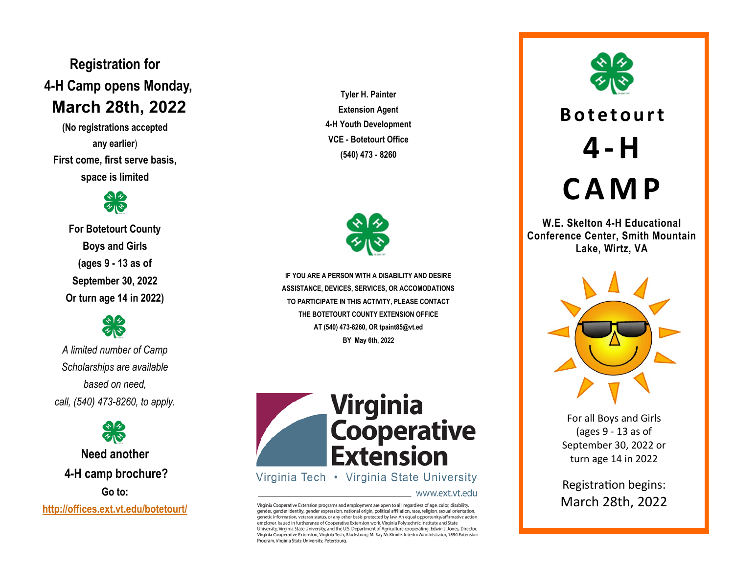**Registration for 4 -H Camp opens Monday, March 28th, 2022**

**(No registrations accepted any earlier** ) **First come, first serve basis, space is limited**



**For Botetourt County Boys and Girls (ages 9 - 13 as of September 30, 2022 Or turn age 14 in 2022)**



*A limited number of Camp Scholarships are available based on need, call, (540) 473 -8260, to apply.*

**Need another 4 -H camp brochure? Go to: <http://offices.ext.vt.edu/botetourt/>**

**Tyler H. Painter Extension Agent 4 -H Youth Development VCE - Botetourt Office (540) 473 - 8260**



BY May 6th, 2022 **IF YOU ARE A PERSON WITH A DISABILITY AND DESIRE ASSISTANCE, DEVICES, SERVICES, OR ACCOMODATIONS TO PARTICIPATE IN THIS ACTIVITY, PLEASE CONTACT THE BOTETOURT COUNTY EXTENSION OFFICE AT (540) 473 -8260, OR tpaint85@vt.ed** 



Virginia Tech • Virginia State University

www.ext.vt.edu

Virginia Cooperative Extension programs and employment are open to all, regardless of age, color, disability, gender, gender identity, gender expression, national origin, political affiliation, race, religion, sexual orientation, genetic information, veteran status, or any other basis protected by law. An equal opportunity/affirmative action employer. Issued in furtherance of Cooperative Extension work, Virginia Polytechnic Institute and State University, Virginia State University, and the U.S. Department of Agriculture cooperating. Edwin J. Jones, Director, Virginia Cooperative Extension, Virginia Tech, Blacksburg; M. Ray McKinnie, Interim Administrator, 1890 Extension Program, Virginia State University, Petersburg.



# **4 -H C A M P**

**W.E. Skelton 4 -H Educational Conference Center, Smith Mountain Lake, Wirtz, VA**



For all Boys and Girls (ages 9 - 13 as of September 30, 2022 or turn age 14 in 2022

Registration begins: March 28th, 2022